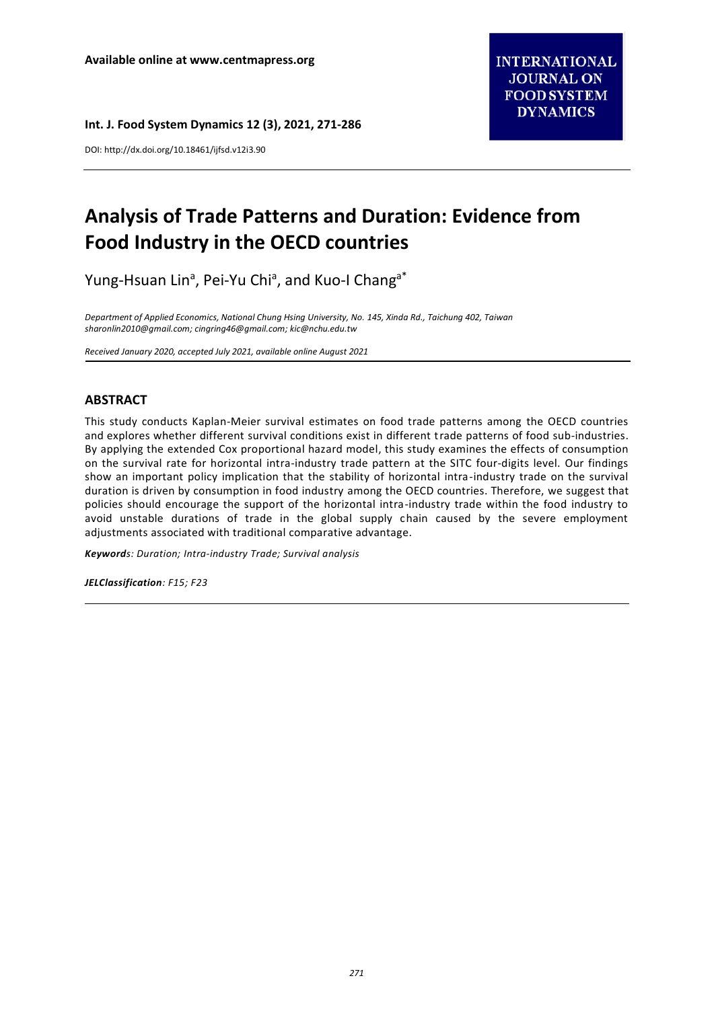DOI: http://dx.doi.org/10.18461/ijfsd.v12i3.90

# **Analysis of Trade Patterns and Duration: Evidence from Food Industry in the OECD countries**

Yung-Hsuan Lin<sup>a</sup>, Pei-Yu Chi<sup>a</sup>, and Kuo-I Chang<sup>a\*</sup>

*Department of Applied Economics, National Chung Hsing University, No. 145, Xinda Rd., Taichung 402, Taiwan [sharonlin2010@gmail.com;](mailto:sharonlin2010@gmail.com) [cingring46@gmail.com;](mailto:cingring46@gmail.com) kic@nchu.edu.tw*

*Received January 2020, accepted July 2021, available online August 2021*

# **ABSTRACT**

This study conducts Kaplan-Meier survival estimates on food trade patterns among the OECD countries and explores whether different survival conditions exist in different trade patterns of food sub-industries. By applying the extended Cox proportional hazard model, this study examines the effects of consumption on the survival rate for horizontal intra-industry trade pattern at the SITC four-digits level. Our findings show an important policy implication that the stability of horizontal intra-industry trade on the survival duration is driven by consumption in food industry among the OECD countries. Therefore, we suggest that policies should encourage the support of the horizontal intra-industry trade within the food industry to avoid unstable durations of trade in the global supply chain caused by the severe employment adjustments associated with traditional comparative advantage.

*Keywords: Duration; Intra-industry Trade; Survival analysis*

*JELClassification: F15; F23*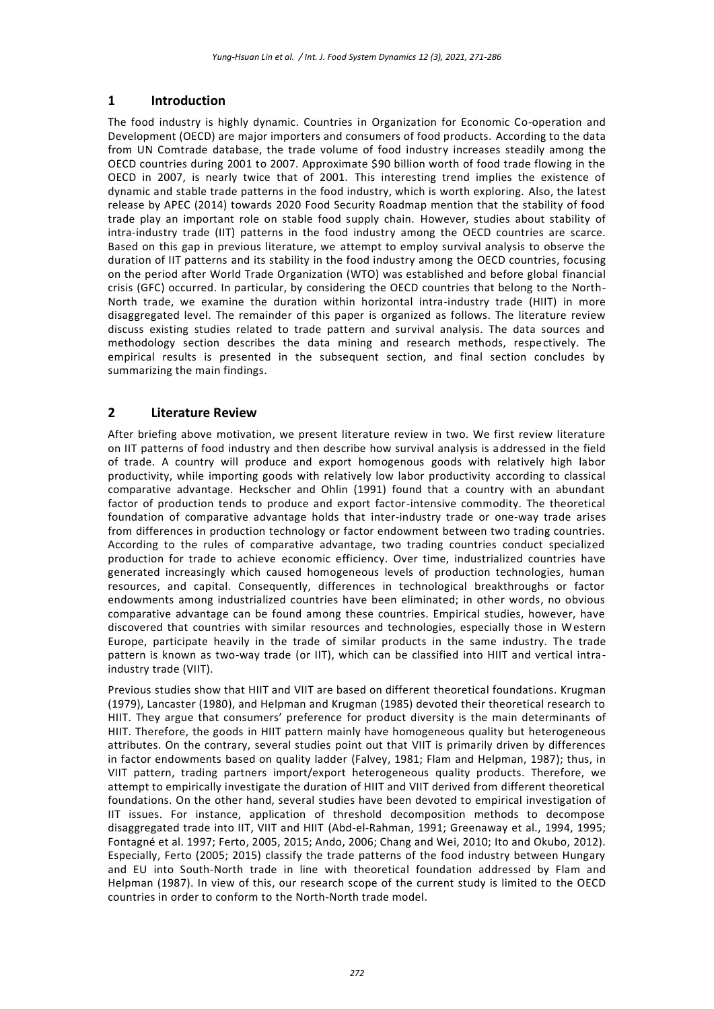# **1 Introduction**

The food industry is highly dynamic. Countries in Organization for Economic Co-operation and Development (OECD) are major importers and consumers of food products. According to the data from UN Comtrade database, the trade volume of food industry increases steadily among the OECD countries during 2001 to 2007. Approximate \$90 billion worth of food trade flowing in the OECD in 2007, is nearly twice that of 2001. This interesting trend implies the existence of dynamic and stable trade patterns in the food industry, which is worth exploring. Also, the latest release by APEC (2014) towards 2020 Food Security Roadmap mention that the stability of food trade play an important role on stable food supply chain. However, studies about stability of intra-industry trade (IIT) patterns in the food industry among the OECD countries are scarce. Based on this gap in previous literature, we attempt to employ survival analysis to observe the duration of IIT patterns and its stability in the food industry among the OECD countries, focusing on the period after World Trade Organization (WTO) was established and before global financial crisis (GFC) occurred. In particular, by considering the OECD countries that belong to the North-North trade, we examine the duration within horizontal intra-industry trade (HIIT) in more disaggregated level. The remainder of this paper is organized as follows. The literature review discuss existing studies related to trade pattern and survival analysis. The data sources and methodology section describes the data mining and research methods, respectively. The empirical results is presented in the subsequent section, and final section concludes by summarizing the main findings.

# **2 Literature Review**

After briefing above motivation, we present literature review in two. We first review literature on IIT patterns of food industry and then describe how survival analysis is addressed in the field of trade. A country will produce and export homogenous goods with relatively high labor productivity, while importing goods with relatively low labor productivity according to classical comparative advantage. Heckscher and Ohlin (1991) found that a country with an abundant factor of production tends to produce and export factor-intensive commodity. The theoretical foundation of comparative advantage holds that inter-industry trade or one-way trade arises from differences in production technology or factor endowment between two trading countries. According to the rules of comparative advantage, two trading countries conduct specialized production for trade to achieve economic efficiency. Over time, industrialized countries have generated increasingly which caused homogeneous levels of production technologies, human resources, and capital. Consequently, differences in technological breakthroughs or factor endowments among industrialized countries have been eliminated; in other words, no obvious comparative advantage can be found among these countries. Empirical studies, however, have discovered that countries with similar resources and technologies, especially those in Western Europe, participate heavily in the trade of similar products in the same industry. The trade pattern is known as two-way trade (or IIT), which can be classified into HIIT and vertical intraindustry trade (VIIT).

Previous studies show that HIIT and VIIT are based on different theoretical foundations. Krugman (1979), Lancaster (1980), and Helpman and Krugman (1985) devoted their theoretical research to HIIT. They argue that consumers' preference for product diversity is the main determinants of HIIT. Therefore, the goods in HIIT pattern mainly have homogeneous quality but heterogeneous attributes. On the contrary, several studies point out that VIIT is primarily driven by differences in factor endowments based on quality ladder (Falvey, 1981; Flam and Helpman, 1987); thus, in VIIT pattern, trading partners import/export heterogeneous quality products. Therefore, we attempt to empirically investigate the duration of HIIT and VIIT derived from different theoretical foundations. On the other hand, several studies have been devoted to empirical investigation of IIT issues. For instance, application of threshold decomposition methods to decompose disaggregated trade into IIT, VIIT and HIIT (Abd-el-Rahman, 1991; Greenaway et al., 1994, 1995; Fontagné et al. 1997; Ferto, 2005, 2015; Ando, 2006; Chang and Wei, 2010; Ito and Okubo, 2012). Especially, Ferto (2005; 2015) classify the trade patterns of the food industry between Hungary and EU into South-North trade in line with theoretical foundation addressed by Flam and Helpman (1987). In view of this, our research scope of the current study is limited to the OECD countries in order to conform to the North-North trade model.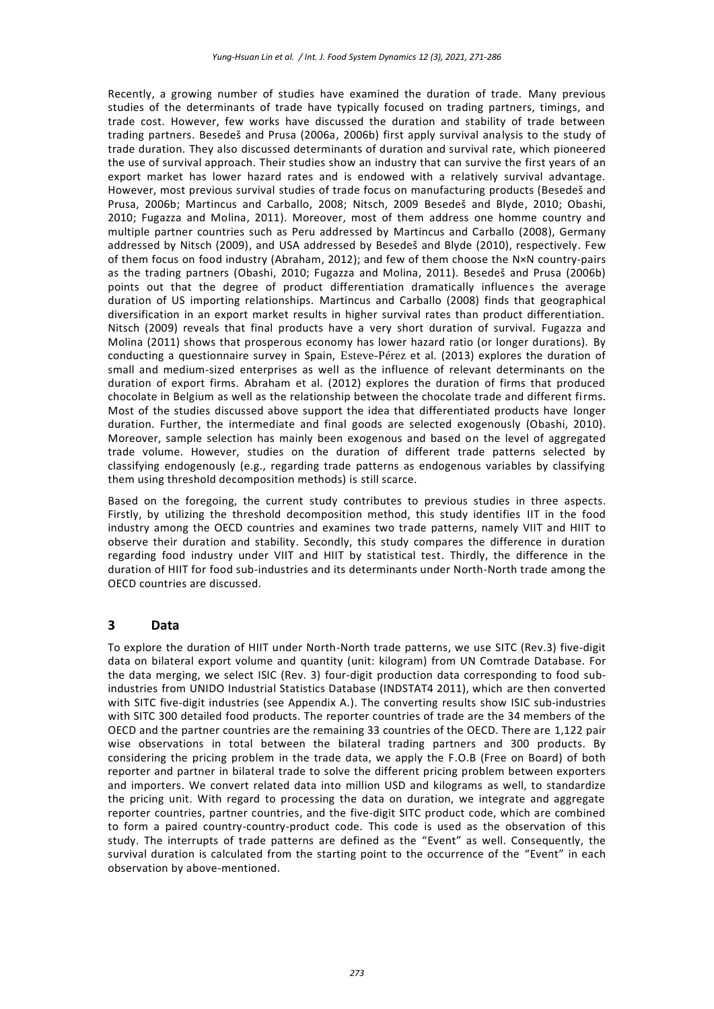Recently, a growing number of studies have examined the duration of trade. Many previous studies of the determinants of trade have typically focused on trading partners, timings, and trade cost. However, few works have discussed the duration and stability of trade between trading partners. Besedeš and Prusa (2006a, 2006b) first apply survival analysis to the study of trade duration. They also discussed determinants of duration and survival rate, which pioneered the use of survival approach. Their studies show an industry that can survive the first years of an export market has lower hazard rates and is endowed with a relatively survival advantage. However, most previous survival studies of trade focus on manufacturing products (Besedeš and Prusa, 2006b; Martincus and Carballo, 2008; Nitsch, 2009 Besedeš and Blyde, 2010; Obashi, 2010; Fugazza and Molina, 2011). Moreover, most of them address one homme country and multiple partner countries such as Peru addressed by Martincus and Carballo (2008), Germany addressed by Nitsch (2009), and USA addressed by Besedeš and Blyde (2010), respectively. Few of them focus on food industry (Abraham, 2012); and few of them choose the N×N country-pairs as the trading partners (Obashi, 2010; Fugazza and Molina, 2011). Besedeš and Prusa (2006b) points out that the degree of product differentiation dramatically influences the average duration of US importing relationships. Martincus and Carballo (2008) finds that geographical diversification in an export market results in higher survival rates than product differentiation. Nitsch (2009) reveals that final products have a very short duration of survival. Fugazza and Molina (2011) shows that prosperous economy has lower hazard ratio (or longer durations). By conducting a questionnaire survey in Spain, Esteve-Pérez et al. (2013) explores the duration of small and medium-sized enterprises as well as the influence of relevant determinants on the duration of export firms. Abraham et al. (2012) explores the duration of firms that produced chocolate in Belgium as well as the relationship between the chocolate trade and different firms. Most of the studies discussed above support the idea that differentiated products have longer duration. Further, the intermediate and final goods are selected exogenously (Obashi, 2010). Moreover, sample selection has mainly been exogenous and based on the level of aggregated trade volume. However, studies on the duration of different trade patterns selected by classifying endogenously (e.g., regarding trade patterns as endogenous variables by classifying them using threshold decomposition methods) is still scarce.

Based on the foregoing, the current study contributes to previous studies in three aspects. Firstly, by utilizing the threshold decomposition method, this study identifies IIT in the food industry among the OECD countries and examines two trade patterns, namely VIIT and HIIT to observe their duration and stability. Secondly, this study compares the difference in duration regarding food industry under VIIT and HIIT by statistical test. Thirdly, the difference in the duration of HIIT for food sub-industries and its determinants under North-North trade among the OECD countries are discussed.

### **3 Data**

To explore the duration of HIIT under North-North trade patterns, we use SITC (Rev.3) five-digit data on bilateral export volume and quantity (unit: kilogram) from UN Comtrade Database. For the data merging, we select ISIC (Rev. 3) four-digit production data corresponding to food subindustries from UNIDO Industrial Statistics Database (INDSTAT4 2011), which are then converted with SITC five-digit industries (see Appendix A.). The converting results show ISIC sub-industries with SITC 300 detailed food products. The reporter countries of trade are the 34 members of the OECD and the partner countries are the remaining 33 countries of the OECD. There are 1,122 pair wise observations in total between the bilateral trading partners and 300 products. By considering the pricing problem in the trade data, we apply the F.O.B (Free on Board) of both reporter and partner in bilateral trade to solve the different pricing problem between exporters and importers. We convert related data into million USD and kilograms as well, to standardize the pricing unit. With regard to processing the data on duration, we integrate and aggregate reporter countries, partner countries, and the five-digit SITC product code, which are combined to form a paired country-country-product code. This code is used as the observation of this study. The interrupts of trade patterns are defined as the "Event" as well. Consequently, the survival duration is calculated from the starting point to the occurrence of the "Event" in each observation by above-mentioned.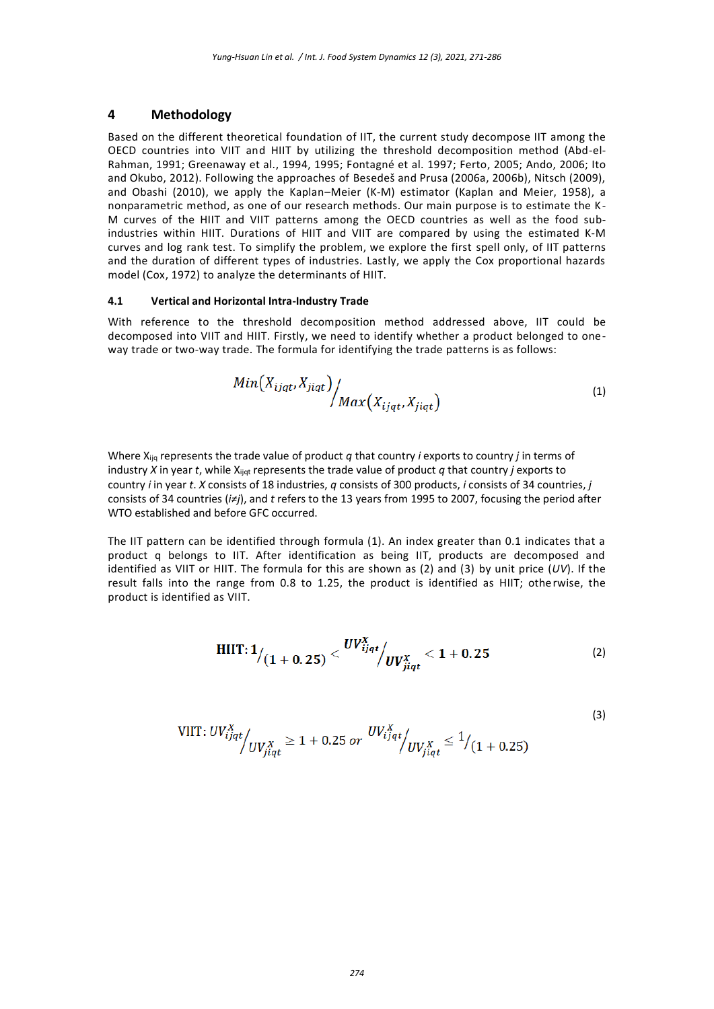### **4 Methodology**

Based on the different theoretical foundation of IIT, the current study decompose IIT among the OECD countries into VIIT and HIIT by utilizing the threshold decomposition method (Abd-el-Rahman, 1991; Greenaway et al., 1994, 1995; Fontagné et al. 1997; Ferto, 2005; Ando, 2006; Ito and Okubo, 2012). Following the approaches of Besedeš and Prusa (2006a, 2006b), Nitsch (2009), and Obashi (2010), we apply the Kaplan–Meier (K-M) estimator (Kaplan and Meier, 1958), a nonparametric method, as one of our research methods. Our main purpose is to estimate the K-M curves of the HIIT and VIIT patterns among the OECD countries as well as the food subindustries within HIIT. Durations of HIIT and VIIT are compared by using the estimated K-M curves and log rank test. To simplify the problem, we explore the first spell only, of IIT patterns and the duration of different types of industries. Lastly, we apply the Cox proportional hazards model (Cox, 1972) to analyze the determinants of HIIT.

### **4.1 Vertical and Horizontal Intra-Industry Trade**

With reference to the threshold decomposition method addressed above, IIT could be decomposed into VIIT and HIIT. Firstly, we need to identify whether a product belonged to oneway trade or two-way trade. The formula for identifying the trade patterns is as follows:

$$
Min(X_{ijqt}, X_{jiqt}) / \frac{Max(X_{ijqt}, X_{jiqt})} \tag{1}
$$

Where Xijq represents the trade value of product *q* that country *i* exports to country *j* in terms of industry *X* in year *t*, while Xijqt represents the trade value of product *q* that country *j* exports to country *i* in year *t*. *X* consists of 18 industries, *q* consists of 300 products, *i* consists of 34 countries, *j*  consists of 34 countries (*i≠j*), and *t* refers to the 13 years from 1995 to 2007, focusing the period after WTO established and before GFC occurred.

The IIT pattern can be identified through formula (1). An index greater than 0.1 indicates that a product q belongs to IIT. After identification as being IIT, products are decomposed and identified as VIIT or HIIT. The formula for this are shown as (2) and (3) by unit price (*UV*). If the result falls into the range from 0.8 to 1.25, the product is identified as HIIT; otherwise, the product is identified as VIIT.

HIT: 
$$
1/_{(1 + 0.25)} <
$$
  $UV_{ijqt}^{X} /_{UV_{ijqt}^{X}} < 1 + 0.25$  (2)

(3)

VIIT: 
$$
UV_{ijqt}^X / UV_{jiqt}^X \ge 1 + 0.25 \text{ or } \frac{UV_{ijqt}^X}{UV_{jiqt}^X} \le \frac{1}{(1 + 0.25)}
$$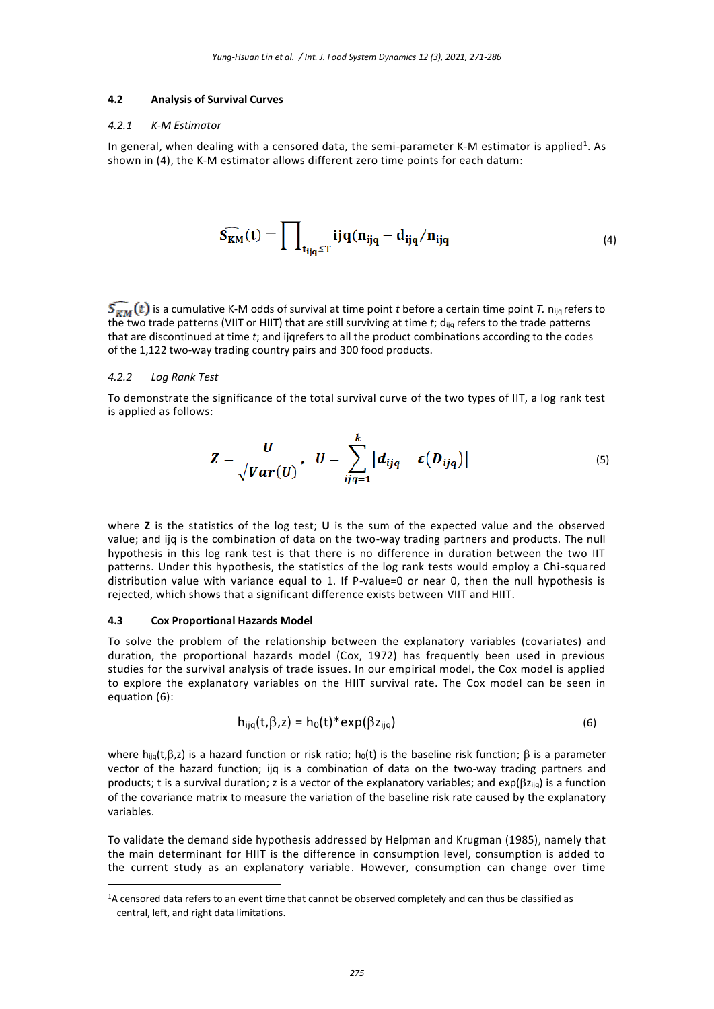#### **4.2 Analysis of Survival Curves**

#### *4.2.1 K-M Estimator*

In general, when dealing with a censored data, the semi-parameter K-M estimator is applied<sup>1</sup>. As shown in (4), the K-M estimator allows different zero time points for each datum:

$$
\widehat{S_{KM}}(t) = \prod\nolimits_{t_{ijq} \le T} ijq(n_{ijq} - d_{ijq}/n_{ijq} \tag{4}
$$

 $\overline{S_{YM}}(t)$  is a cumulative K-M odds of survival at time point *t* before a certain time point *T*. n<sub>ijq</sub> refers to the two trade patterns (VIIT or HIIT) that are still surviving at time *t*; dijq refers to the trade patterns that are discontinued at time *t*; and ijqrefers to all the product combinations according to the codes of the 1,122 two-way trading country pairs and 300 food products.

#### *4.2.2 Log Rank Test*

To demonstrate the significance of the total survival curve of the two types of IIT, a log rank test is applied as follows:

$$
Z=\frac{U}{\sqrt{Var(U)}}, U=\sum_{ijq=1}^k [d_{ijq}-\varepsilon(D_{ijq})]
$$
\n(5)

where **Z** is the statistics of the log test; **U** is the sum of the expected value and the observed value; and ijq is the combination of data on the two-way trading partners and products. The null hypothesis in this log rank test is that there is no difference in duration between the two IIT patterns. Under this hypothesis, the statistics of the log rank tests would employ a Chi-squared distribution value with variance equal to 1. If P-value=0 or near 0, then the null hypothesis is rejected, which shows that a significant difference exists between VIIT and HIIT.

#### **4.3 Cox Proportional Hazards Model**

<u>.</u>

To solve the problem of the relationship between the explanatory variables (covariates) and duration, the proportional hazards model (Cox, 1972) has frequently been used in previous studies for the survival analysis of trade issues. In our empirical model, the Cox model is applied to explore the explanatory variables on the HIIT survival rate. The Cox model can be seen in equation (6):

$$
h_{ijq}(t,\beta,z) = h_0(t)^* \exp(\beta z_{ijq})
$$
\n(6)

where  $h_{ijq}(t,\beta,z)$  is a hazard function or risk ratio;  $h_0(t)$  is the baseline risk function;  $\beta$  is a parameter vector of the hazard function; ijq is a combination of data on the two-way trading partners and products; t is a survival duration; z is a vector of the explanatory variables; and  $exp(\beta z_{\text{liq}})$  is a function of the covariance matrix to measure the variation of the baseline risk rate caused by the explanatory variables.

To validate the demand side hypothesis addressed by Helpman and Krugman (1985), namely that the main determinant for HIIT is the difference in consumption level, consumption is added to the current study as an explanatory variable. However, consumption can change over time

<sup>&</sup>lt;sup>1</sup>A censored data refers to an event time that cannot be observed completely and can thus be classified as central, left, and right data limitations.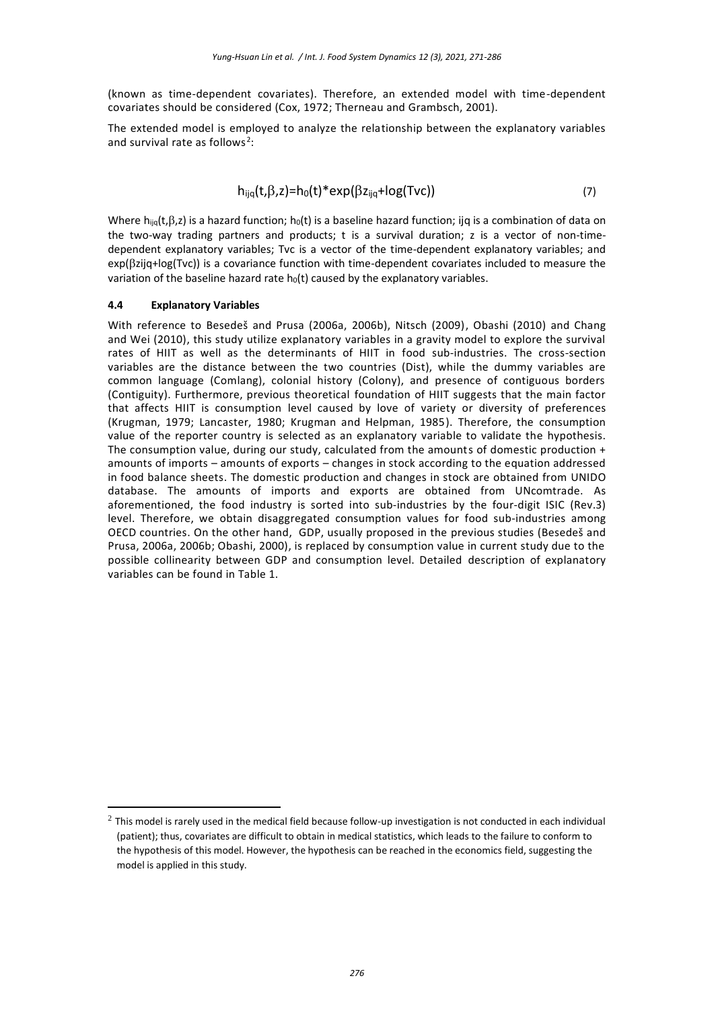(known as time-dependent covariates). Therefore, an extended model with time-dependent covariates should be considered (Cox, 1972; Therneau and Grambsch, 2001).

The extended model is employed to analyze the relationship between the explanatory variables and survival rate as follows<sup>2</sup>:

$$
h_{ijq}(t,\beta,z)=h_0(t)^*exp(\beta z_{ijq}+log(Tvc))
$$
\n(7)

Where  $h_{ijq}(t,\beta,z)$  is a hazard function;  $h_0(t)$  is a baseline hazard function; ijq is a combination of data on the two-way trading partners and products; t is a survival duration; z is a vector of non-timedependent explanatory variables; Tvc is a vector of the time-dependent explanatory variables; and exp( $\beta$ zijq+log(Tvc)) is a covariance function with time-dependent covariates included to measure the variation of the baseline hazard rate  $h_0(t)$  caused by the explanatory variables.

#### **4.4 Explanatory Variables**

<u>.</u>

With reference to Besedeš and Prusa (2006a, 2006b), Nitsch (2009), Obashi (2010) and Chang and Wei (2010), this study utilize explanatory variables in a gravity model to explore the survival rates of HIIT as well as the determinants of HIIT in food sub-industries. The cross-section variables are the distance between the two countries (Dist), while the dummy variables are common language (Comlang), colonial history (Colony), and presence of contiguous borders (Contiguity). Furthermore, previous theoretical foundation of HIIT suggests that the main factor that affects HIIT is consumption level caused by love of variety or diversity of preferences (Krugman, 1979; Lancaster, 1980; Krugman and Helpman, 1985). Therefore, the consumption value of the reporter country is selected as an explanatory variable to validate the hypothesis. The consumption value, during our study, calculated from the amounts of domestic production + amounts of imports – amounts of exports – changes in stock according to the equation addressed in food balance sheets. The domestic production and changes in stock are obtained from UNIDO database. The amounts of imports and exports are obtained from UNcomtrade. As aforementioned, the food industry is sorted into sub-industries by the four-digit ISIC (Rev.3) level. Therefore, we obtain disaggregated consumption values for food sub-industries among OECD countries. On the other hand, GDP, usually proposed in the previous studies (Besedeš and Prusa, 2006a, 2006b; Obashi, 2000), is replaced by consumption value in current study due to the possible collinearity between GDP and consumption level. Detailed description of explanatory variables can be found in Table 1.

 $^2$  This model is rarely used in the medical field because follow-up investigation is not conducted in each individual (patient); thus, covariates are difficult to obtain in medical statistics, which leads to the failure to conform to the hypothesis of this model. However, the hypothesis can be reached in the economics field, suggesting the model is applied in this study.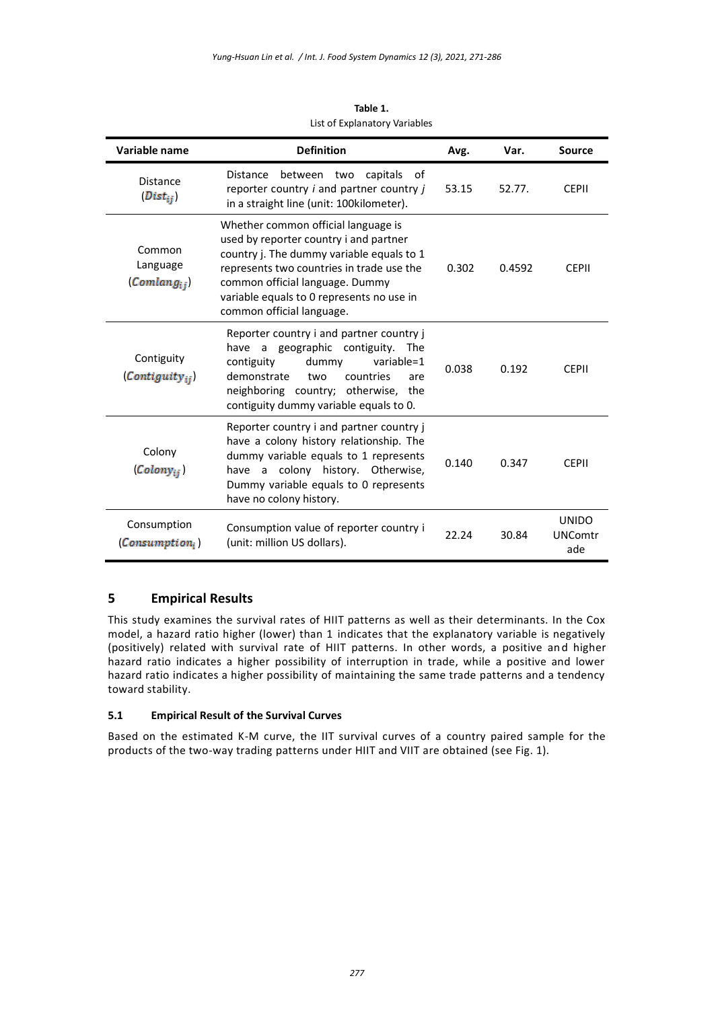| Variable name                                         | <b>Definition</b>                                                                                                                                                                                                                                                                    | Avg.  | Var.   | <b>Source</b>                         |
|-------------------------------------------------------|--------------------------------------------------------------------------------------------------------------------------------------------------------------------------------------------------------------------------------------------------------------------------------------|-------|--------|---------------------------------------|
| <b>Distance</b><br>$(Dist_{ij})$                      | capitals of<br>between two<br><b>Distance</b><br>reporter country <i>i</i> and partner country <i>j</i><br>in a straight line (unit: 100kilometer).                                                                                                                                  | 53.15 | 52.77. | <b>CEPII</b>                          |
| Common<br>Language<br>$(Comlang_{ij})$                | Whether common official language is<br>used by reporter country i and partner<br>country j. The dummy variable equals to 1<br>represents two countries in trade use the<br>common official language. Dummy<br>variable equals to 0 represents no use in<br>common official language. | 0.302 | 0.4592 | <b>CEPII</b>                          |
| Contiguity<br>$\mathcal{C}$ ontiguity <sub>ii</sub> ) | Reporter country i and partner country j<br>have a geographic contiguity. The<br>contiguity<br>dummy<br>variable=1<br>demonstrate<br>countries<br>two<br>are<br>neighboring country; otherwise, the<br>contiguity dummy variable equals to 0.                                        | 0.038 | 0.192  | <b>CEPII</b>                          |
| Colony<br>(Colony <sub>ii</sub> )                     | Reporter country i and partner country j<br>have a colony history relationship. The<br>dummy variable equals to 1 represents<br>have a colony history. Otherwise,<br>Dummy variable equals to 0 represents<br>have no colony history.                                                | 0.140 | 0.347  | <b>CEPII</b>                          |
| Consumption<br>$\mathcal{L}$ onsumption,              | Consumption value of reporter country i<br>(unit: million US dollars).                                                                                                                                                                                                               | 22.24 | 30.84  | <b>UNIDO</b><br><b>UNComtr</b><br>ade |

**Table 1.** List of Explanatory Variables

# **5 Empirical Results**

This study examines the survival rates of HIIT patterns as well as their determinants. In the Cox model, a hazard ratio higher (lower) than 1 indicates that the explanatory variable is negatively (positively) related with survival rate of HIIT patterns. In other words, a positive and higher hazard ratio indicates a higher possibility of interruption in trade, while a positive and lower hazard ratio indicates a higher possibility of maintaining the same trade patterns and a tendency toward stability.

### **5.1 Empirical Result of the Survival Curves**

Based on the estimated K-M curve, the IIT survival curves of a country paired sample for the products of the two-way trading patterns under HIIT and VIIT are obtained (see Fig. 1).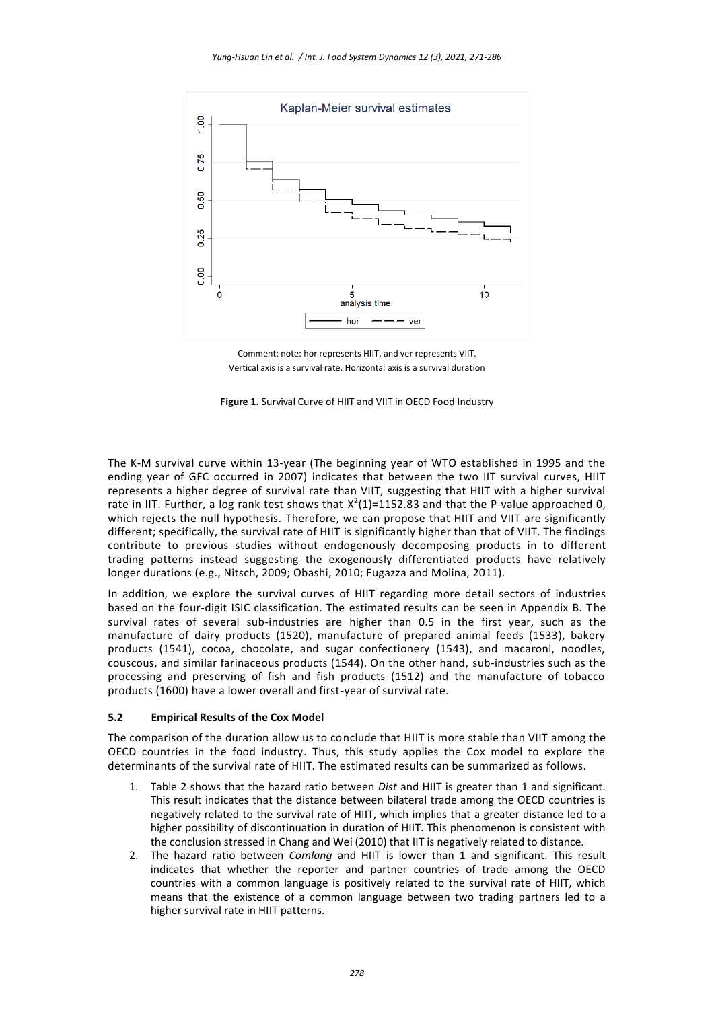

Comment: note: hor represents HIIT, and ver represents VIIT. Vertical axis is a survival rate. Horizontal axis is a survival duration



The K-M survival curve within 13-year (The beginning year of WTO established in 1995 and the ending year of GFC occurred in 2007) indicates that between the two IIT survival curves, HIIT represents a higher degree of survival rate than VIIT, suggesting that HIIT with a higher survival rate in IIT. Further, a log rank test shows that  $X^2(1)=1152.83$  and that the P-value approached 0, which rejects the null hypothesis. Therefore, we can propose that HIIT and VIIT are significantly different; specifically, the survival rate of HIIT is significantly higher than that of VIIT. The findings contribute to previous studies without endogenously decomposing products in to different trading patterns instead suggesting the exogenously differentiated products have relatively longer durations (e.g., Nitsch, 2009; Obashi, 2010; Fugazza and Molina, 2011).

In addition, we explore the survival curves of HIIT regarding more detail sectors of industries based on the four-digit ISIC classification. The estimated results can be seen in Appendix B. The survival rates of several sub-industries are higher than 0.5 in the first year, such as the manufacture of dairy products (1520), manufacture of prepared animal feeds (1533), bakery products (1541), cocoa, chocolate, and sugar confectionery (1543), and macaroni, noodles, couscous, and similar farinaceous products (1544). On the other hand, sub-industries such as the processing and preserving of fish and fish products (1512) and the manufacture of tobacco products (1600) have a lower overall and first-year of survival rate.

### **5.2 Empirical Results of the Cox Model**

The comparison of the duration allow us to conclude that HIIT is more stable than VIIT among the OECD countries in the food industry. Thus, this study applies the Cox model to explore the determinants of the survival rate of HIIT. The estimated results can be summarized as follows.

- 1. Table 2 shows that the hazard ratio between *Dist* and HIIT is greater than 1 and significant. This result indicates that the distance between bilateral trade among the OECD countries is negatively related to the survival rate of HIIT, which implies that a greater distance led to a higher possibility of discontinuation in duration of HIIT. This phenomenon is consistent with the conclusion stressed in Chang and Wei (2010) that IIT is negatively related to distance.
- 2. The hazard ratio between *Comlang* and HIIT is lower than 1 and significant. This result indicates that whether the reporter and partner countries of trade among the OECD countries with a common language is positively related to the survival rate of HIIT, which means that the existence of a common language between two trading partners led to a higher survival rate in HIIT patterns.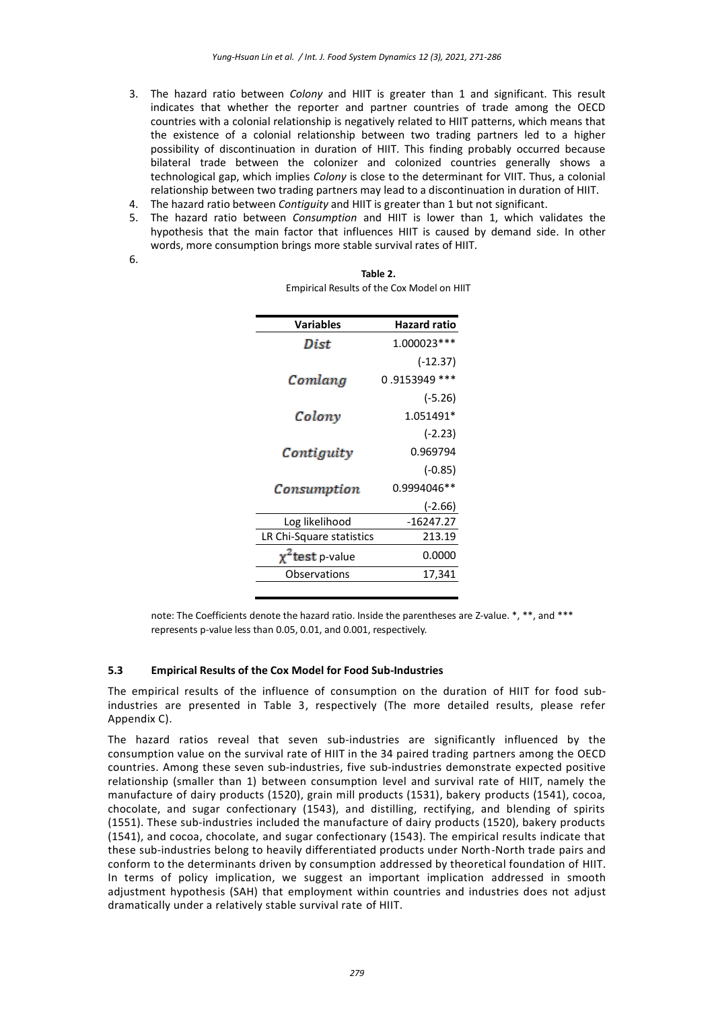- 3. The hazard ratio between *Colony* and HIIT is greater than 1 and significant. This result indicates that whether the reporter and partner countries of trade among the OECD countries with a colonial relationship is negatively related to HIIT patterns, which means that the existence of a colonial relationship between two trading partners led to a higher possibility of discontinuation in duration of HIIT. This finding probably occurred because bilateral trade between the colonizer and colonized countries generally shows a technological gap, which implies *Colony* is close to the determinant for VIIT. Thus, a colonial relationship between two trading partners may lead to a discontinuation in duration of HIIT.
- 4. The hazard ratio between *Contiguity* and HIIT is greater than 1 but not significant.
- 5. The hazard ratio between *Consumption* and HIIT is lower than 1, which validates the hypothesis that the main factor that influences HIIT is caused by demand side. In other words, more consumption brings more stable survival rates of HIIT.

| ×<br>I<br>I<br>w<br>۰.<br>۰ |  |
|-----------------------------|--|
|                             |  |

| <b>Variables</b>         | <b>Hazard ratio</b> |
|--------------------------|---------------------|
| Dist                     | 1.000023 ***        |
|                          | (-12.37)            |
| Comlang                  | 0.9153949<br>***    |
|                          | $(-5.26)$           |
| Colony                   | 1.051491*           |
|                          | (-2.23)             |
| Contiguity               | 0.969794            |
|                          | (-0.85)             |
| Consumption              | 0.9994046**         |
|                          | (-2.66)             |
| Log likelihood           | $-16247.27$         |
| LR Chi-Square statistics | 213.19              |
| test p-value             | 0.0000              |
| Observations             | 17,341              |
|                          |                     |

**Table 2.** Empirical Results of the Cox Model on HIIT

note: The Coefficients denote the hazard ratio. Inside the parentheses are Z-value. \*, \*\*, and \*\*\* represents p-value less than 0.05, 0.01, and 0.001, respectively.

#### **5.3 Empirical Results of the Cox Model for Food Sub-Industries**

The empirical results of the influence of consumption on the duration of HIIT for food subindustries are presented in Table 3, respectively (The more detailed results, please refer Appendix C).

The hazard ratios reveal that seven sub-industries are significantly influenced by the consumption value on the survival rate of HIIT in the 34 paired trading partners among the OECD countries. Among these seven sub-industries, five sub-industries demonstrate expected positive relationship (smaller than 1) between consumption level and survival rate of HIIT, namely the manufacture of dairy products (1520), grain mill products (1531), bakery products (1541), cocoa, chocolate, and sugar confectionary (1543), and distilling, rectifying, and blending of spirits (1551). These sub-industries included the manufacture of dairy products (1520), bakery products (1541), and cocoa, chocolate, and sugar confectionary (1543). The empirical results indicate that these sub-industries belong to heavily differentiated products under North-North trade pairs and conform to the determinants driven by consumption addressed by theoretical foundation of HIIT. In terms of policy implication, we suggest an important implication addressed in smooth adjustment hypothesis (SAH) that employment within countries and industries does not adjust dramatically under a relatively stable survival rate of HIIT.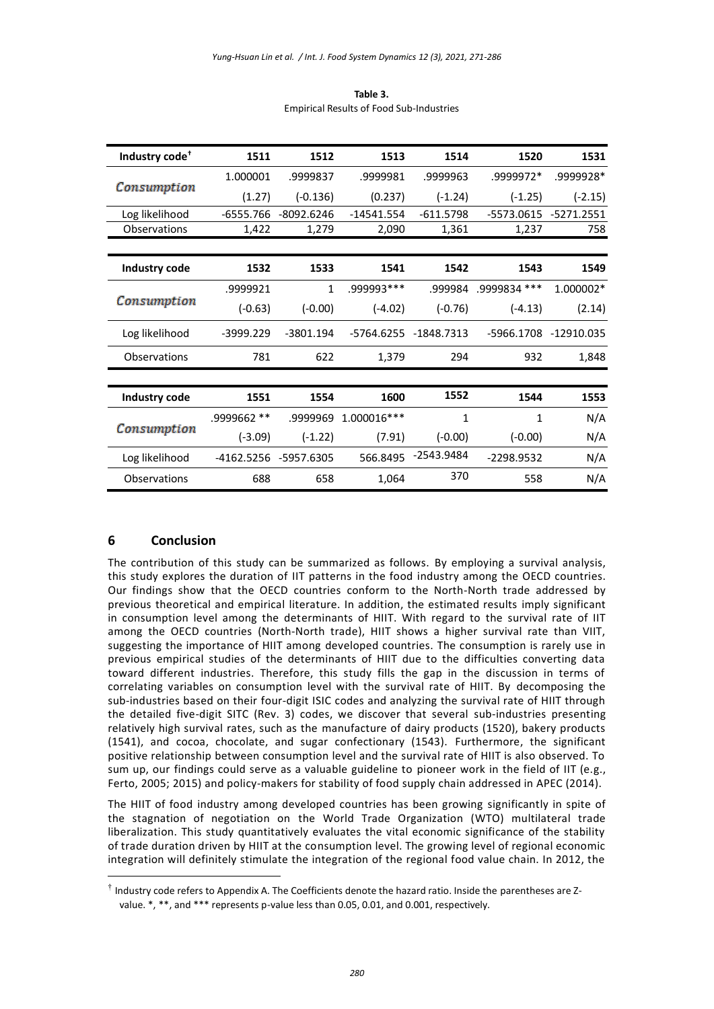| Industry code <sup>+</sup> | 1511        | 1512         | 1513         | 1514         | 1520         | 1531         |
|----------------------------|-------------|--------------|--------------|--------------|--------------|--------------|
|                            | 1.000001    | .9999837     | .9999981     | .9999963     | .9999972*    | .9999928*    |
| Consumption                | (1.27)      | $(-0.136)$   | (0.237)      | $(-1.24)$    | $(-1.25)$    | $(-2.15)$    |
| Log likelihood             | $-6555.766$ | $-8092.6246$ | $-14541.554$ | $-611.5798$  | -5573.0615   | $-5271.2551$ |
| Observations               | 1,422       | 1,279        | 2,090        | 1,361        | 1,237        | 758          |
|                            |             |              |              |              |              |              |
| Industry code              | 1532        | 1533         | 1541         | 1542         | 1543         | 1549         |
|                            | .9999921    | $\mathbf{1}$ | .999993***   | .999984      | .9999834 *** | 1.000002*    |
| Consumption                | $(-0.63)$   | $(-0.00)$    | $(-4.02)$    | $(-0.76)$    | $(-4.13)$    | (2.14)       |
| Log likelihood             | -3999.229   | $-3801.194$  | -5764.6255   | -1848.7313   | -5966.1708   | -12910.035   |
| Observations               | 781         | 622          | 1,379        | 294          | 932          | 1,848        |
|                            |             |              |              |              |              |              |
| Industry code              | 1551        | 1554         | 1600         | 1552         | 1544         | 1553         |
|                            | .9999662 ** | .9999969     | 1.000016 *** | $\mathbf{1}$ | 1            | N/A          |
| Consumption                | $(-3.09)$   | $(-1.22)$    | (7.91)       | $(-0.00)$    | $(-0.00)$    | N/A          |
| Log likelihood             | -4162.5256  | -5957.6305   | 566.8495     | -2543.9484   | -2298.9532   | N/A          |
| Observations               | 688         | 658          | 1,064        | 370          | 558          | N/A          |

**Table 3.** Empirical Results of Food Sub-Industries

# **6 Conclusion**

<u>.</u>

The contribution of this study can be summarized as follows. By employing a survival analysis, this study explores the duration of IIT patterns in the food industry among the OECD countries. Our findings show that the OECD countries conform to the North-North trade addressed by previous theoretical and empirical literature. In addition, the estimated results imply significant in consumption level among the determinants of HIIT. With regard to the survival rate of IIT among the OECD countries (North-North trade), HIIT shows a higher survival rate than VIIT, suggesting the importance of HIIT among developed countries. The consumption is rarely use in previous empirical studies of the determinants of HIIT due to the difficulties converting data toward different industries. Therefore, this study fills the gap in the discussion in terms of correlating variables on consumption level with the survival rate of HIIT. By decomposing the sub-industries based on their four-digit ISIC codes and analyzing the survival rate of HIIT through the detailed five-digit SITC (Rev. 3) codes, we discover that several sub-industries presenting relatively high survival rates, such as the manufacture of dairy products (1520), bakery products (1541), and cocoa, chocolate, and sugar confectionary (1543). Furthermore, the significant positive relationship between consumption level and the survival rate of HIIT is also observed. To sum up, our findings could serve as a valuable guideline to pioneer work in the field of IIT (e.g., Ferto, 2005; 2015) and policy-makers for stability of food supply chain addressed in APEC (2014).

The HIIT of food industry among developed countries has been growing significantly in spite of the stagnation of negotiation on the World Trade Organization (WTO) multilateral trade liberalization. This study quantitatively evaluates the vital economic significance of the stability of trade duration driven by HIIT at the consumption level. The growing level of regional economic integration will definitely stimulate the integration of the regional food value chain. In 2012, the

<sup>†</sup> Industry code refers to Appendix A. The Coefficients denote the hazard ratio. Inside the parentheses are Zvalue. \*, \*\*, and \*\*\* represents p-value less than 0.05, 0.01, and 0.001, respectively.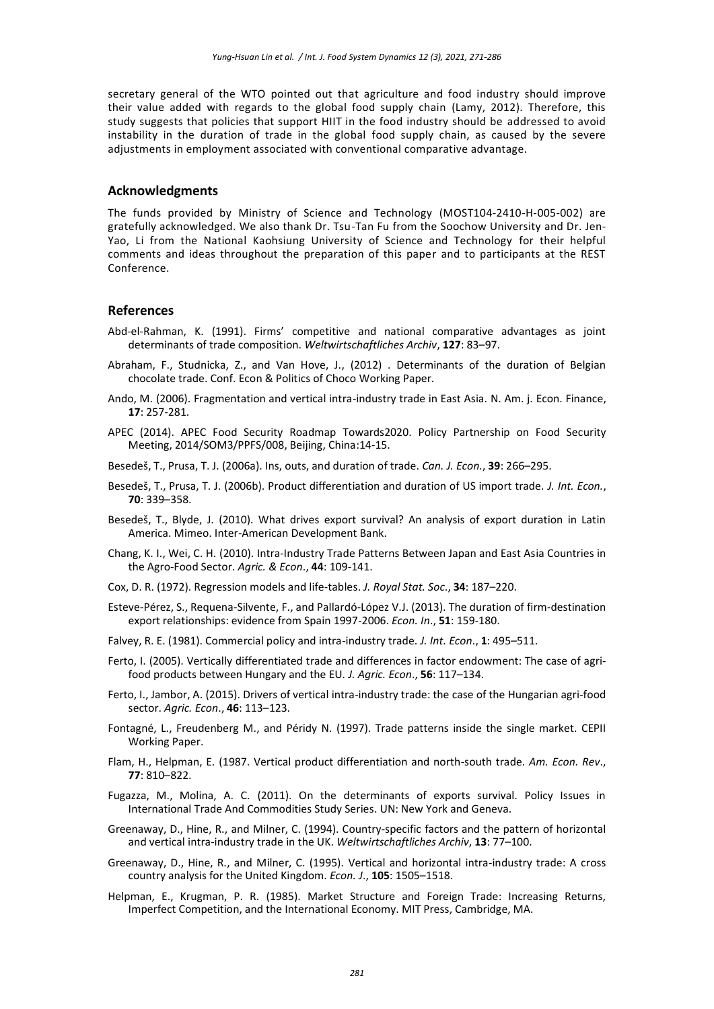secretary general of the WTO pointed out that agriculture and food industry should improve their value added with regards to the global food supply chain (Lamy, 2012). Therefore, this study suggests that policies that support HIIT in the food industry should be addressed to avoid instability in the duration of trade in the global food supply chain, as caused by the severe adjustments in employment associated with conventional comparative advantage.

#### **Acknowledgments**

The funds provided by Ministry of Science and Technology (MOST104-2410-H-005-002) are gratefully acknowledged. We also thank Dr. Tsu-Tan Fu from the Soochow University and Dr. Jen-Yao, Li from the National Kaohsiung University of Science and Technology for their helpful comments and ideas throughout the preparation of this paper and to participants at the REST Conference.

### **References**

- Abd-el-Rahman, K. (1991). Firms' competitive and national comparative advantages as joint determinants of trade composition. *Weltwirtschaftliches Archiv*, **127**: 83–97.
- Abraham, F., Studnicka, Z., and Van Hove, J., (2012) . Determinants of the duration of Belgian chocolate trade. Conf. Econ & Politics of Choco Working Paper.
- Ando, M. (2006). Fragmentation and vertical intra-industry trade in East Asia. N. Am. j. Econ. Finance, **17**: 257-281.
- APEC (2014). APEC Food Security Roadmap Towards2020. Policy Partnership on Food Security Meeting, 2014/SOM3/PPFS/008, Beijing, China:14-15.
- Besedeš, T., Prusa, T. J. (2006a). Ins, outs, and duration of trade. *Can. J. Econ.*, **39**: 266–295.
- Besedeš, T., Prusa, T. J. (2006b). Product differentiation and duration of US import trade. *J. Int. Econ.*, **70**: 339–358.
- Besedeš, T., Blyde, J. (2010). What drives export survival? An analysis of export duration in Latin America. Mimeo. Inter-American Development Bank.
- Chang, K. I., Wei, C. H. (2010). Intra-Industry Trade Patterns Between Japan and East Asia Countries in the Agro-Food Sector. *Agric. & Econ*., **44**: 109-141.
- Cox, D. R. (1972). Regression models and life-tables. *J. Royal Stat. Soc*., **34**: 187–220.
- Esteve-Pérez, S., Requena-Silvente, F., and Pallardó-López V.J. (2013). The duration of firm-destination export relationships: evidence from Spain 1997-2006. *Econ. In*., **51**: 159-180.
- Falvey, R. E. (1981). Commercial policy and intra-industry trade. *J. Int. Econ*., **1**: 495–511.
- Ferto, I. (2005). Vertically differentiated trade and differences in factor endowment: The case of agrifood products between Hungary and the EU*. J. Agric. Econ*., **56**: 117–134.
- Ferto, I., Jambor, A. (2015). Drivers of vertical intra-industry trade: the case of the Hungarian agri-food sector. *Agric. Econ*., **46**: 113–123.
- Fontagné, L., Freudenberg M., and Péridy N. (1997). Trade patterns inside the single market. CEPII Working Paper.
- Flam, H., Helpman, E. (1987. Vertical product differentiation and north-south trade. *Am. Econ. Rev*., **77**: 810–822.
- Fugazza, M., Molina, A. C. (2011). On the determinants of exports survival. Policy Issues in International Trade And Commodities Study Series. UN: New York and Geneva.
- Greenaway, D., Hine, R., and Milner, C. (1994). Country-specific factors and the pattern of horizontal and vertical intra-industry trade in the UK. *Weltwirtschaftliches Archiv*, **13**: 77–100.
- Greenaway, D., Hine, R., and Milner, C. (1995). Vertical and horizontal intra-industry trade: A cross country analysis for the United Kingdom. *Econ. J*., **105**: 1505–1518.
- Helpman, E., Krugman, P. R. (1985). Market Structure and Foreign Trade: Increasing Returns, Imperfect Competition, and the International Economy. MIT Press, Cambridge, MA.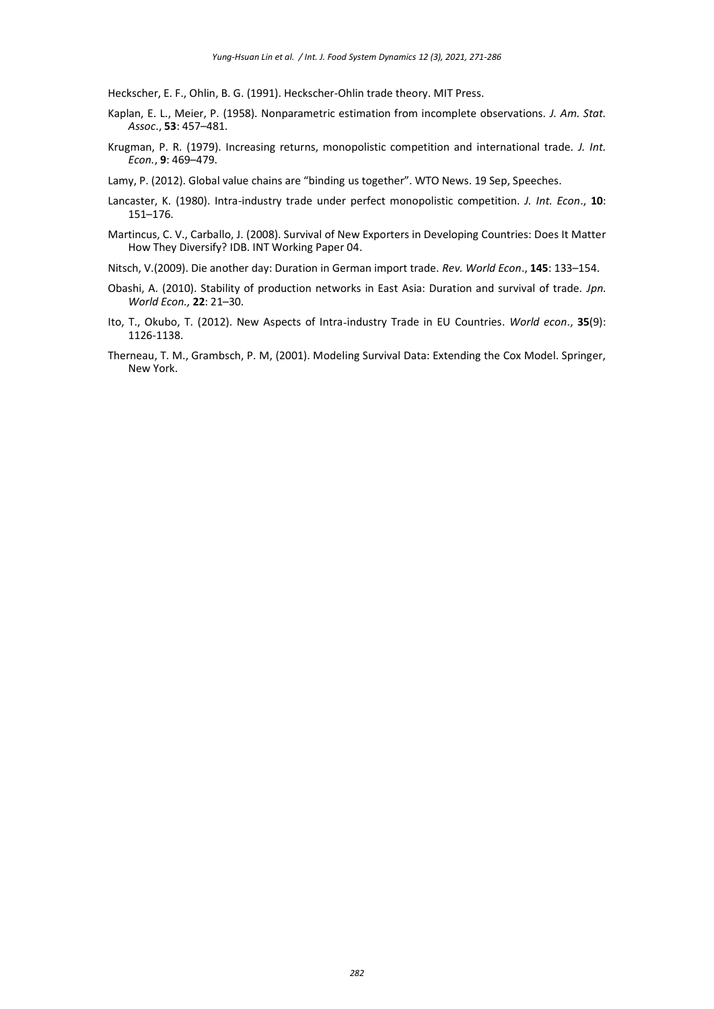Heckscher, E. F., Ohlin, B. G. (1991). Heckscher-Ohlin trade theory. MIT Press.

- Kaplan, E. L., Meier, P. (1958). Nonparametric estimation from incomplete observations. *J. Am. Stat. Assoc*., **53**: 457–481.
- Krugman, P. R. (1979). Increasing returns, monopolistic competition and international trade. *J. Int. Econ.*, **9**: 469–479.

Lamy, P. (2012). Global value chains are "binding us together". WTO News. 19 Sep, Speeches.

- Lancaster, K. (1980). Intra-industry trade under perfect monopolistic competition. *J. Int. Econ*., **10**: 151–176.
- Martincus, C. V., Carballo, J. (2008). Survival of New Exporters in Developing Countries: Does It Matter How They Diversify? IDB. INT Working Paper 04.
- Nitsch, V.(2009). Die another day: Duration in German import trade. *Rev. World Econ*., **145**: 133–154.
- Obashi, A. (2010). Stability of production networks in East Asia: Duration and survival of trade. *Jpn. World Econ.,* **22**: 21–30.
- Ito, T., Okubo, T. (2012). New Aspects of Intra‐industry Trade in EU Countries. *World econ*., **35**(9): 1126-1138.
- Therneau, T. M., Grambsch, P. M, (2001). Modeling Survival Data: Extending the Cox Model. Springer, New York.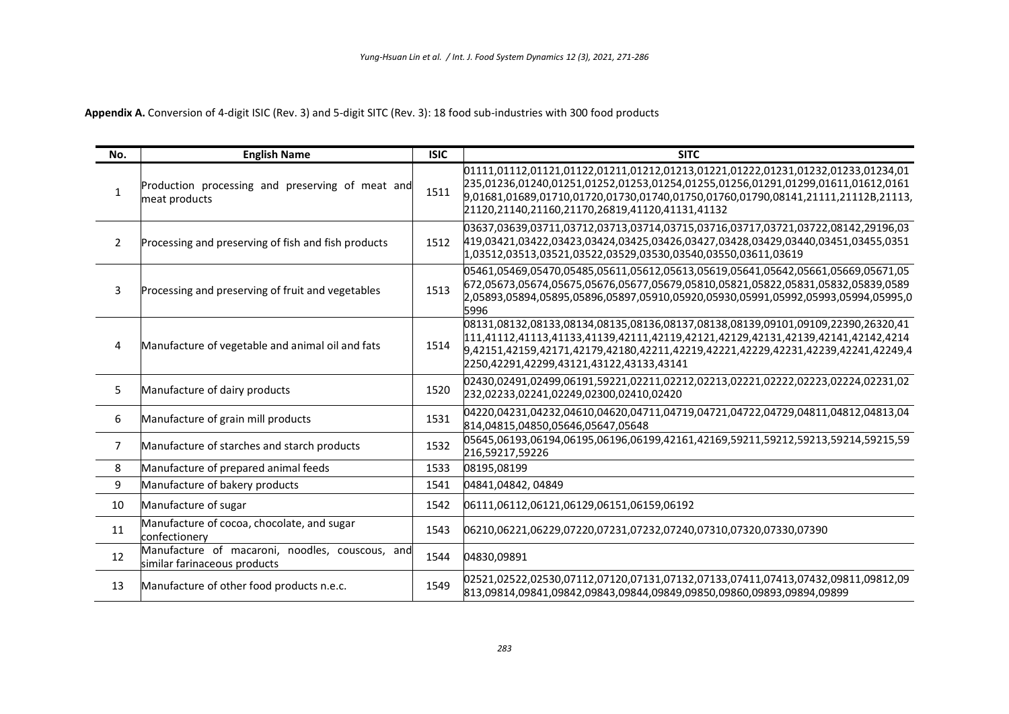**Appendix A.** Conversion of 4-digit ISIC (Rev. 3) and 5-digit SITC (Rev. 3): 18 food sub-industries with 300 food products

| No.            | <b>English Name</b>                                                             | <b>ISIC</b> | <b>SITC</b>                                                                                                                                                                                                                                                                                                  |
|----------------|---------------------------------------------------------------------------------|-------------|--------------------------------------------------------------------------------------------------------------------------------------------------------------------------------------------------------------------------------------------------------------------------------------------------------------|
| $\mathbf{1}$   | Production processing and preserving of meat and<br>meat products               | 1511        | 01111,01112,01121,01122,01211,01212,01213,01221,01222,01231,01232,01233,01234,01<br>235,01236,01240,01251,01252,01253,01254,01255,01256,01291,01299,01611,01612,0161<br>9,01681,01689,01710,01720,01730,01740,01750,01760,01790,08141,21111,21112B,21113,<br>21120,21140,21160,21170,26819,41120,41131,41132 |
| $\overline{2}$ | Processing and preserving of fish and fish products                             | 1512        | 03637,03639,03711,03712,03713,03714,03715,03716,03717,03721,03722,08142,29196,03<br>419,03421,03422,03423,03424,03425,03426,03427,03428,03429,03440,03451,03455,0351<br>1,03512,03513,03521,03522,03529,03530,03540,03550,03611,03619                                                                        |
| 3              | Processing and preserving of fruit and vegetables                               | 1513        | 05461,05469,05470,05485,05611,05612,05613,05619,05641,05642,05661,05669,05671,05<br>672,05673,05674,05675,05676,05677,05679,05810,05821,05822,05831,05832,05839,0589<br>2,05893,05894,05895,05896,05897,05910,05920,05930,05991,05992,05993,05994,05995,0<br>5996                                            |
| 4              | Manufacture of vegetable and animal oil and fats                                | 1514        | 08131,08132,08133,08134,08135,08136,08137,08138,08139,09101,09109,22390,26320,41<br>111,41112,41113,41133,41139,42111,42119,42121,42129,42131,42139,42141,42142,4214<br>9,42151,42159,42171,42179,42180,42211,42219,42221,42229,42231,42239,42241,42249,4<br>2250,42291,42299,43121,43122,43133,43141        |
| 5              | Manufacture of dairy products                                                   | 1520        | 02430,02491,02499,06191,59221,02211,02212,02213,02221,02222,02223,02224,02231,02<br>232,02233,02241,02249,02300,02410,02420                                                                                                                                                                                  |
| 6              | Manufacture of grain mill products                                              | 1531        | 04220,04231,04232,04610,04620,04711,04719,04721,04722,04729,04811,04812,04813,04<br>814,04815,04850,05646,05647,05648                                                                                                                                                                                        |
| $\overline{7}$ | Manufacture of starches and starch products                                     | 1532        | 05645,06193,06194,06195,06196,06199,42161,42169,59211,59212,59213,59214,59215,59<br>216,59217,59226                                                                                                                                                                                                          |
| 8              | Manufacture of prepared animal feeds                                            | 1533        | 08195,08199                                                                                                                                                                                                                                                                                                  |
| 9              | Manufacture of bakery products                                                  | 1541        | 04841,04842,04849                                                                                                                                                                                                                                                                                            |
| 10             | Manufacture of sugar                                                            | 1542        | 06111,06112,06121,06129,06151,06159,06192                                                                                                                                                                                                                                                                    |
| 11             | Manufacture of cocoa, chocolate, and sugar<br>confectionery                     | 1543        | 06210,06221,06229,07220,07231,07232,07240,07310,07320,07330,07390                                                                                                                                                                                                                                            |
| 12             | Manufacture of macaroni, noodles, couscous, and<br>similar farinaceous products | 1544        | 04830,09891                                                                                                                                                                                                                                                                                                  |
| 13             | Manufacture of other food products n.e.c.                                       | 1549        | 02521,02522,02530,07112,07120,07131,07132,07133,07411,07413,07432,09811,09812,09<br>813,09814,09841,09842,09843,09844,09849,09850,09860,09893,09894,09899                                                                                                                                                    |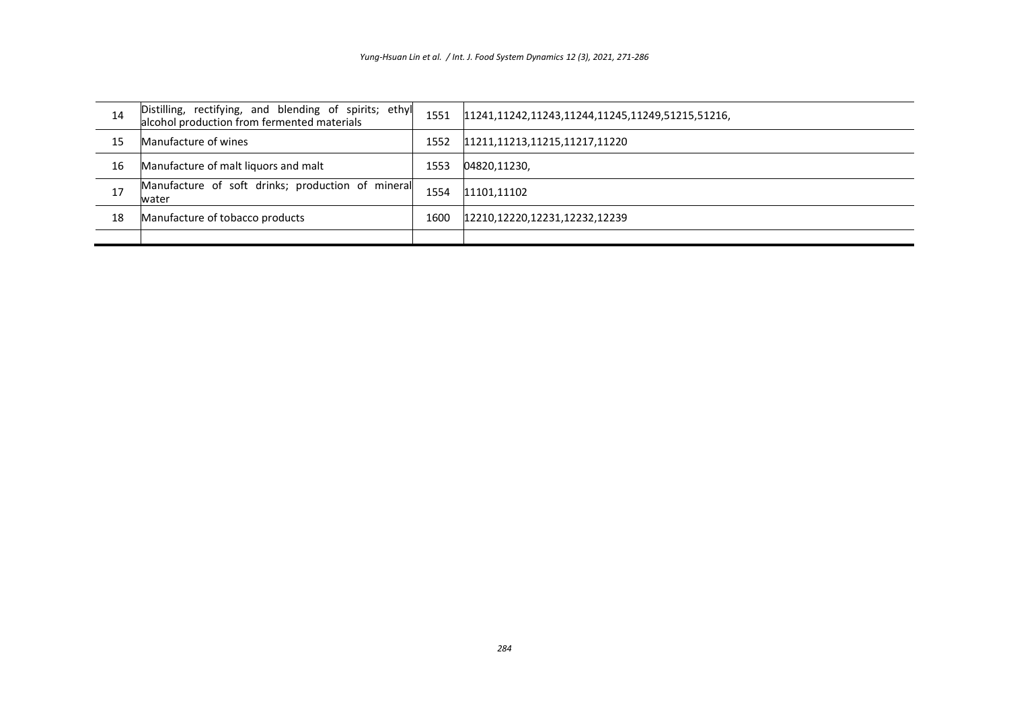| 14 | Distilling, rectifying, and blending of spirits; ethyl<br>alcohol production from fermented materials | 1551 | 11241,11242,11243,11244,11245,11249,51215,51216, |
|----|-------------------------------------------------------------------------------------------------------|------|--------------------------------------------------|
| 15 | Manufacture of wines                                                                                  | 1552 | 11211,11213,11215,11217,11220                    |
| 16 | Manufacture of malt liquors and malt                                                                  | 1553 | 04820,11230,                                     |
| 17 | Manufacture of soft drinks; production of mineral<br>water                                            | 1554 | 11101,11102                                      |
| 18 | Manufacture of tobacco products                                                                       | 1600 | 12210,12220,12231,12232,12239                    |
|    |                                                                                                       |      |                                                  |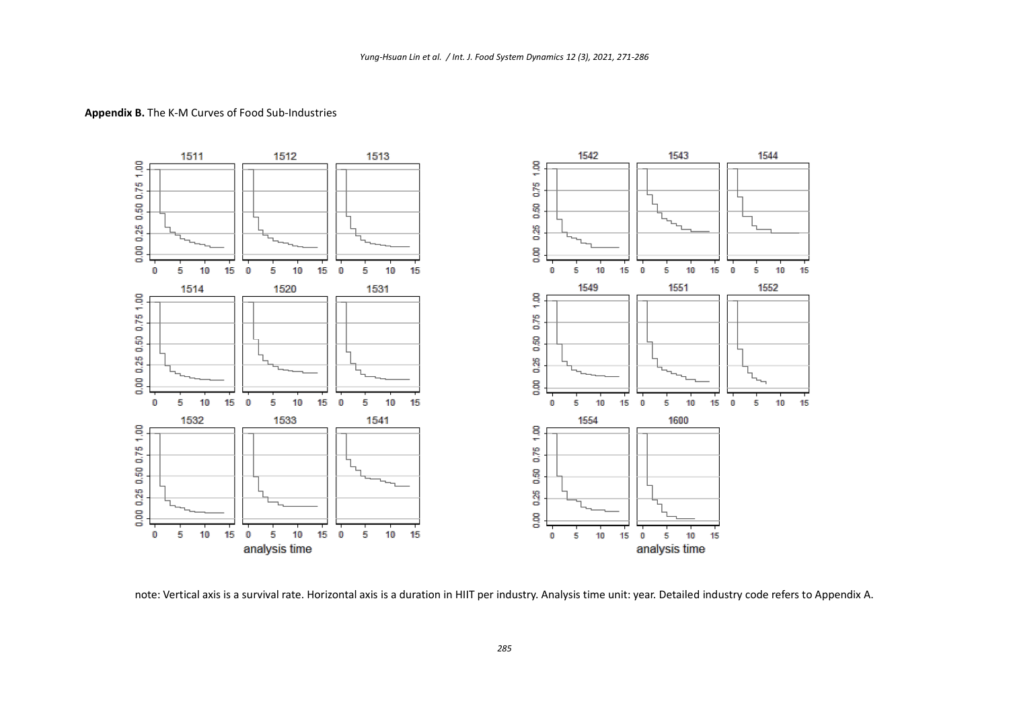

#### **Appendix B.** The K-M Curves of Food Sub-Industries

note: Vertical axis is a survival rate. Horizontal axis is a duration in HIIT per industry. Analysis time unit: year. Detailed industry code refers to Appendix A.